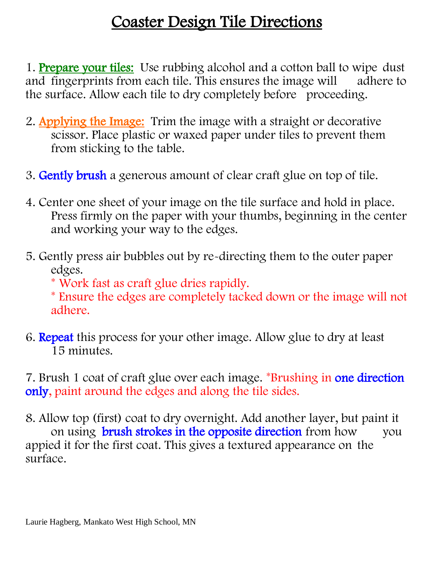## Coaster Design Tile Directions

1. Prepare your tiles: Use rubbing alcohol and a cotton ball to wipe dust and fingerprints from each tile. This ensures the image will adhere to the surface. Allow each tile to dry completely before proceeding.

- 2. Applying the Image: Trim the image with a straight or decorative scissor. Place plastic or waxed paper under tiles to prevent them from sticking to the table.
- 3. Gently brush a generous amount of clear craft glue on top of tile.
- 4. Center one sheet of your image on the tile surface and hold in place. Press firmly on the paper with your thumbs, beginning in the center and working your way to the edges.
- 5. Gently press air bubbles out by re-directing them to the outer paper edges.
	- \* Work fast as craft glue dries rapidly.
	- \* Ensure the edges are completely tacked down or the image will not adhere.
- 6. Repeat this process for your other image. Allow glue to dry at least 15 minutes.

7. Brush 1 coat of craft glue over each image. \*Brushing in one direction only, paint around the edges and along the tile sides.

8. Allow top (first) coat to dry overnight. Add another layer, but paint it on using **brush strokes in the opposite direction** from how you appied it for the first coat. This gives a textured appearance on the surface.